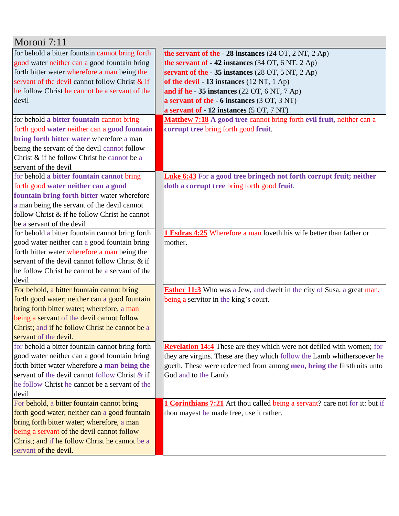| Moroni 7:11                                                                                                                                                                                                                                                                                                                                                                                                                                                                                                                                                                                                                                                                                                                                                                                                                                                                                                                                                                                                                                     |                                                                                                                                                                                                                                                                                                                                                                                                                                                                                                                                                                                                        |
|-------------------------------------------------------------------------------------------------------------------------------------------------------------------------------------------------------------------------------------------------------------------------------------------------------------------------------------------------------------------------------------------------------------------------------------------------------------------------------------------------------------------------------------------------------------------------------------------------------------------------------------------------------------------------------------------------------------------------------------------------------------------------------------------------------------------------------------------------------------------------------------------------------------------------------------------------------------------------------------------------------------------------------------------------|--------------------------------------------------------------------------------------------------------------------------------------------------------------------------------------------------------------------------------------------------------------------------------------------------------------------------------------------------------------------------------------------------------------------------------------------------------------------------------------------------------------------------------------------------------------------------------------------------------|
| for behold a bitter fountain cannot bring forth                                                                                                                                                                                                                                                                                                                                                                                                                                                                                                                                                                                                                                                                                                                                                                                                                                                                                                                                                                                                 | the servant of the $-28$ instances (24 OT, 2 NT, 2 Ap)                                                                                                                                                                                                                                                                                                                                                                                                                                                                                                                                                 |
| good water neither can a good fountain bring                                                                                                                                                                                                                                                                                                                                                                                                                                                                                                                                                                                                                                                                                                                                                                                                                                                                                                                                                                                                    | the servant of $-42$ instances (34 OT, 6 NT, 2 Ap)                                                                                                                                                                                                                                                                                                                                                                                                                                                                                                                                                     |
| forth bitter water wherefore a man being the                                                                                                                                                                                                                                                                                                                                                                                                                                                                                                                                                                                                                                                                                                                                                                                                                                                                                                                                                                                                    | servant of the $-35$ instances (28 OT, 5 NT, 2 Ap)                                                                                                                                                                                                                                                                                                                                                                                                                                                                                                                                                     |
| servant of the devil cannot follow Christ & if                                                                                                                                                                                                                                                                                                                                                                                                                                                                                                                                                                                                                                                                                                                                                                                                                                                                                                                                                                                                  | of the devil $-13$ instances (12 NT, 1 Ap)                                                                                                                                                                                                                                                                                                                                                                                                                                                                                                                                                             |
| he follow Christ he cannot be a servant of the                                                                                                                                                                                                                                                                                                                                                                                                                                                                                                                                                                                                                                                                                                                                                                                                                                                                                                                                                                                                  | and if he - 35 instances $(22 \text{ OT}, 6 \text{ NT}, 7 \text{ Ap})$                                                                                                                                                                                                                                                                                                                                                                                                                                                                                                                                 |
| devil                                                                                                                                                                                                                                                                                                                                                                                                                                                                                                                                                                                                                                                                                                                                                                                                                                                                                                                                                                                                                                           | a servant of the - 6 instances (3 OT, 3 NT)                                                                                                                                                                                                                                                                                                                                                                                                                                                                                                                                                            |
|                                                                                                                                                                                                                                                                                                                                                                                                                                                                                                                                                                                                                                                                                                                                                                                                                                                                                                                                                                                                                                                 | a servant of - 12 instances (5 OT, 7 NT)                                                                                                                                                                                                                                                                                                                                                                                                                                                                                                                                                               |
| for behold a bitter fountain cannot bring                                                                                                                                                                                                                                                                                                                                                                                                                                                                                                                                                                                                                                                                                                                                                                                                                                                                                                                                                                                                       | Matthew 7:18 A good tree cannot bring forth evil fruit, neither can a                                                                                                                                                                                                                                                                                                                                                                                                                                                                                                                                  |
| forth good water neither can a good fountain                                                                                                                                                                                                                                                                                                                                                                                                                                                                                                                                                                                                                                                                                                                                                                                                                                                                                                                                                                                                    | corrupt tree bring forth good fruit.                                                                                                                                                                                                                                                                                                                                                                                                                                                                                                                                                                   |
| bring forth bitter water wherefore a man                                                                                                                                                                                                                                                                                                                                                                                                                                                                                                                                                                                                                                                                                                                                                                                                                                                                                                                                                                                                        |                                                                                                                                                                                                                                                                                                                                                                                                                                                                                                                                                                                                        |
| being the servant of the devil cannot follow                                                                                                                                                                                                                                                                                                                                                                                                                                                                                                                                                                                                                                                                                                                                                                                                                                                                                                                                                                                                    |                                                                                                                                                                                                                                                                                                                                                                                                                                                                                                                                                                                                        |
| Christ & if he follow Christ he cannot be a                                                                                                                                                                                                                                                                                                                                                                                                                                                                                                                                                                                                                                                                                                                                                                                                                                                                                                                                                                                                     |                                                                                                                                                                                                                                                                                                                                                                                                                                                                                                                                                                                                        |
| servant of the devil                                                                                                                                                                                                                                                                                                                                                                                                                                                                                                                                                                                                                                                                                                                                                                                                                                                                                                                                                                                                                            |                                                                                                                                                                                                                                                                                                                                                                                                                                                                                                                                                                                                        |
| for behold a bitter fountain cannot bring                                                                                                                                                                                                                                                                                                                                                                                                                                                                                                                                                                                                                                                                                                                                                                                                                                                                                                                                                                                                       | <b>Luke 6:43</b> For a good tree bringeth not forth corrupt fruit; neither                                                                                                                                                                                                                                                                                                                                                                                                                                                                                                                             |
| forth good water neither can a good                                                                                                                                                                                                                                                                                                                                                                                                                                                                                                                                                                                                                                                                                                                                                                                                                                                                                                                                                                                                             | doth a corrupt tree bring forth good fruit.                                                                                                                                                                                                                                                                                                                                                                                                                                                                                                                                                            |
| fountain bring forth bitter water wherefore                                                                                                                                                                                                                                                                                                                                                                                                                                                                                                                                                                                                                                                                                                                                                                                                                                                                                                                                                                                                     |                                                                                                                                                                                                                                                                                                                                                                                                                                                                                                                                                                                                        |
| a man being the servant of the devil cannot                                                                                                                                                                                                                                                                                                                                                                                                                                                                                                                                                                                                                                                                                                                                                                                                                                                                                                                                                                                                     |                                                                                                                                                                                                                                                                                                                                                                                                                                                                                                                                                                                                        |
| follow Christ & if he follow Christ he cannot                                                                                                                                                                                                                                                                                                                                                                                                                                                                                                                                                                                                                                                                                                                                                                                                                                                                                                                                                                                                   |                                                                                                                                                                                                                                                                                                                                                                                                                                                                                                                                                                                                        |
| be a servant of the devil                                                                                                                                                                                                                                                                                                                                                                                                                                                                                                                                                                                                                                                                                                                                                                                                                                                                                                                                                                                                                       |                                                                                                                                                                                                                                                                                                                                                                                                                                                                                                                                                                                                        |
|                                                                                                                                                                                                                                                                                                                                                                                                                                                                                                                                                                                                                                                                                                                                                                                                                                                                                                                                                                                                                                                 |                                                                                                                                                                                                                                                                                                                                                                                                                                                                                                                                                                                                        |
|                                                                                                                                                                                                                                                                                                                                                                                                                                                                                                                                                                                                                                                                                                                                                                                                                                                                                                                                                                                                                                                 |                                                                                                                                                                                                                                                                                                                                                                                                                                                                                                                                                                                                        |
|                                                                                                                                                                                                                                                                                                                                                                                                                                                                                                                                                                                                                                                                                                                                                                                                                                                                                                                                                                                                                                                 |                                                                                                                                                                                                                                                                                                                                                                                                                                                                                                                                                                                                        |
|                                                                                                                                                                                                                                                                                                                                                                                                                                                                                                                                                                                                                                                                                                                                                                                                                                                                                                                                                                                                                                                 |                                                                                                                                                                                                                                                                                                                                                                                                                                                                                                                                                                                                        |
|                                                                                                                                                                                                                                                                                                                                                                                                                                                                                                                                                                                                                                                                                                                                                                                                                                                                                                                                                                                                                                                 |                                                                                                                                                                                                                                                                                                                                                                                                                                                                                                                                                                                                        |
|                                                                                                                                                                                                                                                                                                                                                                                                                                                                                                                                                                                                                                                                                                                                                                                                                                                                                                                                                                                                                                                 |                                                                                                                                                                                                                                                                                                                                                                                                                                                                                                                                                                                                        |
|                                                                                                                                                                                                                                                                                                                                                                                                                                                                                                                                                                                                                                                                                                                                                                                                                                                                                                                                                                                                                                                 |                                                                                                                                                                                                                                                                                                                                                                                                                                                                                                                                                                                                        |
|                                                                                                                                                                                                                                                                                                                                                                                                                                                                                                                                                                                                                                                                                                                                                                                                                                                                                                                                                                                                                                                 |                                                                                                                                                                                                                                                                                                                                                                                                                                                                                                                                                                                                        |
|                                                                                                                                                                                                                                                                                                                                                                                                                                                                                                                                                                                                                                                                                                                                                                                                                                                                                                                                                                                                                                                 |                                                                                                                                                                                                                                                                                                                                                                                                                                                                                                                                                                                                        |
|                                                                                                                                                                                                                                                                                                                                                                                                                                                                                                                                                                                                                                                                                                                                                                                                                                                                                                                                                                                                                                                 |                                                                                                                                                                                                                                                                                                                                                                                                                                                                                                                                                                                                        |
|                                                                                                                                                                                                                                                                                                                                                                                                                                                                                                                                                                                                                                                                                                                                                                                                                                                                                                                                                                                                                                                 |                                                                                                                                                                                                                                                                                                                                                                                                                                                                                                                                                                                                        |
|                                                                                                                                                                                                                                                                                                                                                                                                                                                                                                                                                                                                                                                                                                                                                                                                                                                                                                                                                                                                                                                 |                                                                                                                                                                                                                                                                                                                                                                                                                                                                                                                                                                                                        |
|                                                                                                                                                                                                                                                                                                                                                                                                                                                                                                                                                                                                                                                                                                                                                                                                                                                                                                                                                                                                                                                 |                                                                                                                                                                                                                                                                                                                                                                                                                                                                                                                                                                                                        |
|                                                                                                                                                                                                                                                                                                                                                                                                                                                                                                                                                                                                                                                                                                                                                                                                                                                                                                                                                                                                                                                 |                                                                                                                                                                                                                                                                                                                                                                                                                                                                                                                                                                                                        |
|                                                                                                                                                                                                                                                                                                                                                                                                                                                                                                                                                                                                                                                                                                                                                                                                                                                                                                                                                                                                                                                 |                                                                                                                                                                                                                                                                                                                                                                                                                                                                                                                                                                                                        |
|                                                                                                                                                                                                                                                                                                                                                                                                                                                                                                                                                                                                                                                                                                                                                                                                                                                                                                                                                                                                                                                 |                                                                                                                                                                                                                                                                                                                                                                                                                                                                                                                                                                                                        |
|                                                                                                                                                                                                                                                                                                                                                                                                                                                                                                                                                                                                                                                                                                                                                                                                                                                                                                                                                                                                                                                 |                                                                                                                                                                                                                                                                                                                                                                                                                                                                                                                                                                                                        |
|                                                                                                                                                                                                                                                                                                                                                                                                                                                                                                                                                                                                                                                                                                                                                                                                                                                                                                                                                                                                                                                 |                                                                                                                                                                                                                                                                                                                                                                                                                                                                                                                                                                                                        |
|                                                                                                                                                                                                                                                                                                                                                                                                                                                                                                                                                                                                                                                                                                                                                                                                                                                                                                                                                                                                                                                 |                                                                                                                                                                                                                                                                                                                                                                                                                                                                                                                                                                                                        |
|                                                                                                                                                                                                                                                                                                                                                                                                                                                                                                                                                                                                                                                                                                                                                                                                                                                                                                                                                                                                                                                 |                                                                                                                                                                                                                                                                                                                                                                                                                                                                                                                                                                                                        |
|                                                                                                                                                                                                                                                                                                                                                                                                                                                                                                                                                                                                                                                                                                                                                                                                                                                                                                                                                                                                                                                 |                                                                                                                                                                                                                                                                                                                                                                                                                                                                                                                                                                                                        |
|                                                                                                                                                                                                                                                                                                                                                                                                                                                                                                                                                                                                                                                                                                                                                                                                                                                                                                                                                                                                                                                 |                                                                                                                                                                                                                                                                                                                                                                                                                                                                                                                                                                                                        |
| servant of the devil.                                                                                                                                                                                                                                                                                                                                                                                                                                                                                                                                                                                                                                                                                                                                                                                                                                                                                                                                                                                                                           |                                                                                                                                                                                                                                                                                                                                                                                                                                                                                                                                                                                                        |
| for behold a bitter fountain cannot bring forth<br>good water neither can a good fountain bring<br>forth bitter water wherefore a man being the<br>servant of the devil cannot follow Christ & if<br>he follow Christ he cannot be a servant of the<br>devil<br>For behold, a bitter fountain cannot bring<br>forth good water; neither can a good fountain<br>bring forth bitter water; wherefore, a man<br>being a servant of the devil cannot follow<br>Christ; and if he follow Christ he cannot be a<br>servant of the devil.<br>for behold a bitter fountain cannot bring forth<br>good water neither can a good fountain bring<br>forth bitter water wherefore a man being the<br>servant of the devil cannot follow Christ & if<br>he follow Christ he cannot be a servant of the<br>devil<br>For behold, a bitter fountain cannot bring<br>forth good water; neither can a good fountain<br>bring forth bitter water; wherefore, a man<br>being a servant of the devil cannot follow<br>Christ; and if he follow Christ he cannot be a | 1 Esdras 4:25 Wherefore a man loveth his wife better than father or<br>mother.<br><b>Esther 11:3</b> Who was a Jew, and dwelt in the city of Susa, a great man,<br>being a servitor in the king's court.<br><b>Revelation 14:4</b> These are they which were not defiled with women; for<br>they are virgins. These are they which follow the Lamb whithersoever he<br>goeth. These were redeemed from among men, being the firstfruits unto<br>God and to the Lamb.<br><b>1 Corinthians 7:21</b> Art thou called being a servant? care not for it: but if<br>thou mayest be made free, use it rather. |